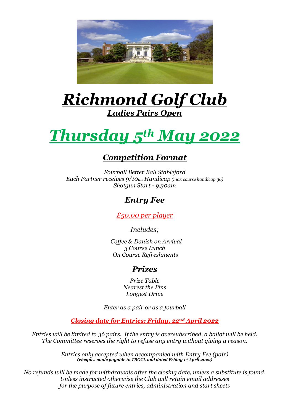

## *Richmond Golf Club Ladies Pairs Open*

# *Thursday 5th May 2022*

#### *Competition Format*

*Fourball Better Ball Stableford Each Partner receives 9/10ths Handicap (max course handicap 36) Shotgun Start - 9.30am*

#### *Entry Fee*

*£50.00 per player*

*Includes;*

 *Coffee & Danish on Arrival 3 Course Lunch On Course Refreshments*

### *Prizes*

*Prize Table Nearest the Pins Longest Drive*

*Enter as a pair or as a fourball*

*Closing date for Entries: Friday, 22nd April 2022*

*Entries will be limited to 36 pairs. If the entry is oversubscribed, a ballot will be held. The Committee reserves the right to refuse any entry without giving a reason.*

> *Entries only accepted when accompanied with Entry Fee (pair) (cheques made payable to TRGCL and dated Friday 1 st April 2022)*

*No refunds will be made for withdrawals after the closing date, unless a substitute is found. Unless instructed otherwise the Club will retain email addresses for the purpose of future entries, administration and start sheets*